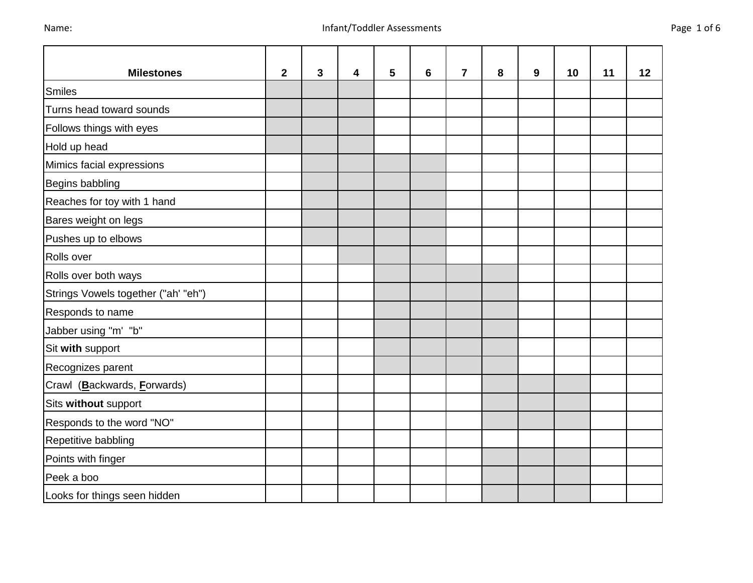Looks for things seen hidden

| <b>Milestones</b>                   | $\mathbf{2}$ | 3 | 4 | 5 | 6 | $\overline{7}$ | 8 | 9 | 10 | 11 | 12 |
|-------------------------------------|--------------|---|---|---|---|----------------|---|---|----|----|----|
| Smiles                              |              |   |   |   |   |                |   |   |    |    |    |
| Turns head toward sounds            |              |   |   |   |   |                |   |   |    |    |    |
| Follows things with eyes            |              |   |   |   |   |                |   |   |    |    |    |
| Hold up head                        |              |   |   |   |   |                |   |   |    |    |    |
| Mimics facial expressions           |              |   |   |   |   |                |   |   |    |    |    |
| Begins babbling                     |              |   |   |   |   |                |   |   |    |    |    |
| Reaches for toy with 1 hand         |              |   |   |   |   |                |   |   |    |    |    |
| Bares weight on legs                |              |   |   |   |   |                |   |   |    |    |    |
| Pushes up to elbows                 |              |   |   |   |   |                |   |   |    |    |    |
| Rolls over                          |              |   |   |   |   |                |   |   |    |    |    |
| Rolls over both ways                |              |   |   |   |   |                |   |   |    |    |    |
| Strings Vowels together ("ah' "eh") |              |   |   |   |   |                |   |   |    |    |    |
| Responds to name                    |              |   |   |   |   |                |   |   |    |    |    |
| Jabber using "m' "b"                |              |   |   |   |   |                |   |   |    |    |    |
| Sit with support                    |              |   |   |   |   |                |   |   |    |    |    |
| Recognizes parent                   |              |   |   |   |   |                |   |   |    |    |    |
| Crawl (Backwards, Forwards)         |              |   |   |   |   |                |   |   |    |    |    |
| Sits without support                |              |   |   |   |   |                |   |   |    |    |    |
| Responds to the word "NO"           |              |   |   |   |   |                |   |   |    |    |    |
| Repetitive babbling                 |              |   |   |   |   |                |   |   |    |    |    |
| Points with finger                  |              |   |   |   |   |                |   |   |    |    |    |
| Peek a boo                          |              |   |   |   |   |                |   |   |    |    |    |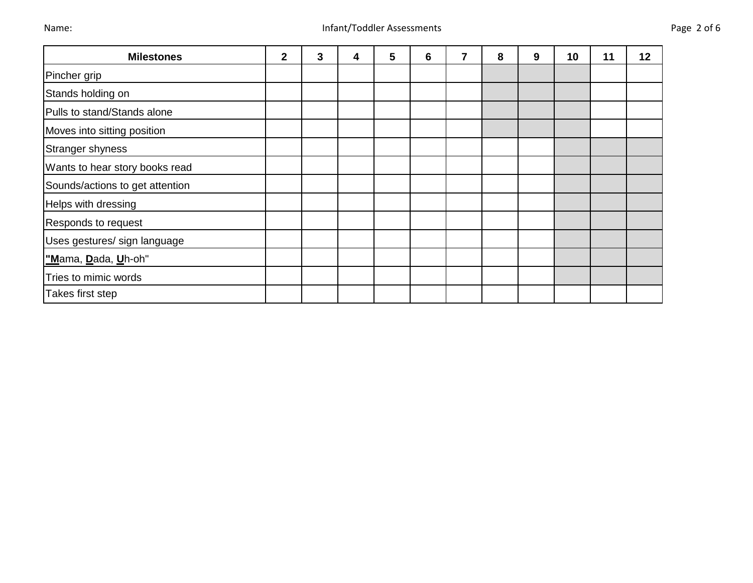| <b>Milestones</b>               | $\overline{2}$ | 3 | 4 | $5\phantom{.0}$ | 6 | 7 | 8 | 9 | 10 | 11 | 12 |
|---------------------------------|----------------|---|---|-----------------|---|---|---|---|----|----|----|
| Pincher grip                    |                |   |   |                 |   |   |   |   |    |    |    |
| Stands holding on               |                |   |   |                 |   |   |   |   |    |    |    |
| Pulls to stand/Stands alone     |                |   |   |                 |   |   |   |   |    |    |    |
| Moves into sitting position     |                |   |   |                 |   |   |   |   |    |    |    |
| Stranger shyness                |                |   |   |                 |   |   |   |   |    |    |    |
| Wants to hear story books read  |                |   |   |                 |   |   |   |   |    |    |    |
| Sounds/actions to get attention |                |   |   |                 |   |   |   |   |    |    |    |
| Helps with dressing             |                |   |   |                 |   |   |   |   |    |    |    |
| Responds to request             |                |   |   |                 |   |   |   |   |    |    |    |
| Uses gestures/ sign language    |                |   |   |                 |   |   |   |   |    |    |    |
| "Mama, Dada, Uh-oh"             |                |   |   |                 |   |   |   |   |    |    |    |
| Tries to mimic words            |                |   |   |                 |   |   |   |   |    |    |    |
| Takes first step                |                |   |   |                 |   |   |   |   |    |    |    |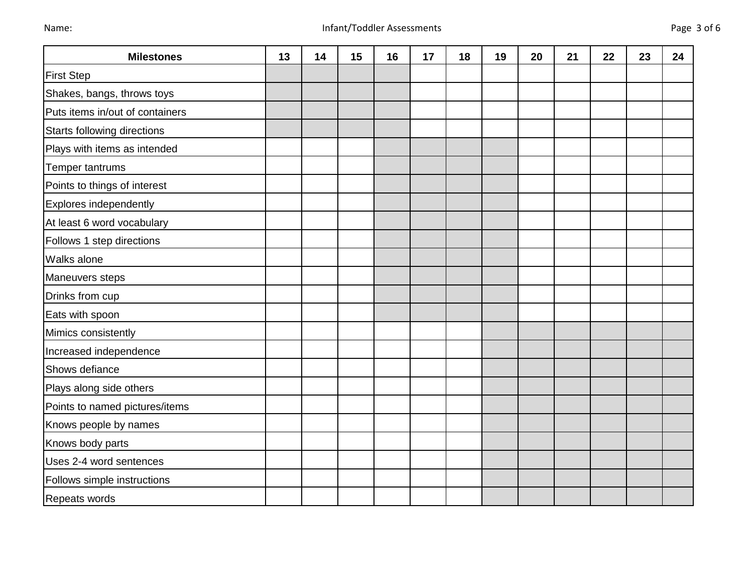| <b>Milestones</b>               | 13 | 14 | 15 | 16 | 17 | 18 | 19 | 20 | 21 | 22 | 23 | 24 |
|---------------------------------|----|----|----|----|----|----|----|----|----|----|----|----|
| <b>First Step</b>               |    |    |    |    |    |    |    |    |    |    |    |    |
| Shakes, bangs, throws toys      |    |    |    |    |    |    |    |    |    |    |    |    |
| Puts items in/out of containers |    |    |    |    |    |    |    |    |    |    |    |    |
| Starts following directions     |    |    |    |    |    |    |    |    |    |    |    |    |
| Plays with items as intended    |    |    |    |    |    |    |    |    |    |    |    |    |
| Temper tantrums                 |    |    |    |    |    |    |    |    |    |    |    |    |
| Points to things of interest    |    |    |    |    |    |    |    |    |    |    |    |    |
| Explores independently          |    |    |    |    |    |    |    |    |    |    |    |    |
| At least 6 word vocabulary      |    |    |    |    |    |    |    |    |    |    |    |    |
| Follows 1 step directions       |    |    |    |    |    |    |    |    |    |    |    |    |
| <b>Walks alone</b>              |    |    |    |    |    |    |    |    |    |    |    |    |
| Maneuvers steps                 |    |    |    |    |    |    |    |    |    |    |    |    |
| Drinks from cup                 |    |    |    |    |    |    |    |    |    |    |    |    |
| Eats with spoon                 |    |    |    |    |    |    |    |    |    |    |    |    |
| Mimics consistently             |    |    |    |    |    |    |    |    |    |    |    |    |
| Increased independence          |    |    |    |    |    |    |    |    |    |    |    |    |
| Shows defiance                  |    |    |    |    |    |    |    |    |    |    |    |    |
| Plays along side others         |    |    |    |    |    |    |    |    |    |    |    |    |
| Points to named pictures/items  |    |    |    |    |    |    |    |    |    |    |    |    |
| Knows people by names           |    |    |    |    |    |    |    |    |    |    |    |    |
| Knows body parts                |    |    |    |    |    |    |    |    |    |    |    |    |
| Uses 2-4 word sentences         |    |    |    |    |    |    |    |    |    |    |    |    |
| Follows simple instructions     |    |    |    |    |    |    |    |    |    |    |    |    |
| Repeats words                   |    |    |    |    |    |    |    |    |    |    |    |    |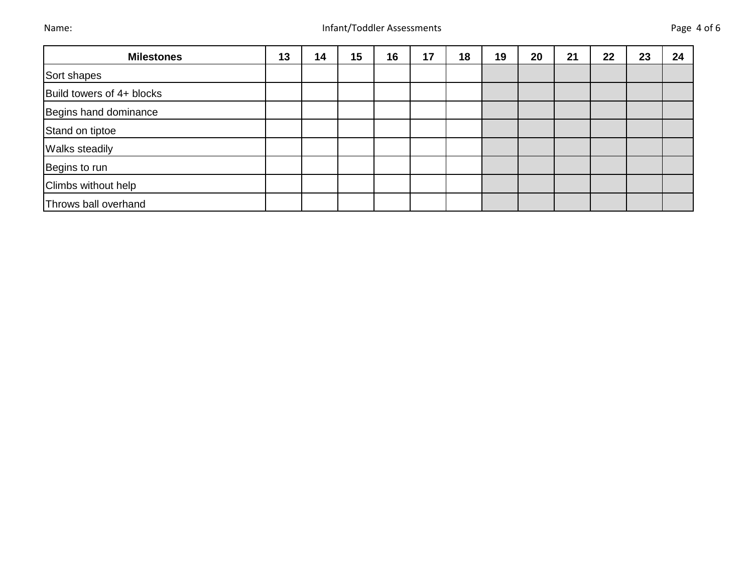| <b>Milestones</b>         | 13 | 14 | 15 | 16 | 17 | 18 | 19 | 20 | 21 | 22 | 23 | 24 |
|---------------------------|----|----|----|----|----|----|----|----|----|----|----|----|
| Sort shapes               |    |    |    |    |    |    |    |    |    |    |    |    |
| Build towers of 4+ blocks |    |    |    |    |    |    |    |    |    |    |    |    |
| Begins hand dominance     |    |    |    |    |    |    |    |    |    |    |    |    |
| Stand on tiptoe           |    |    |    |    |    |    |    |    |    |    |    |    |
| <b>Walks steadily</b>     |    |    |    |    |    |    |    |    |    |    |    |    |
| Begins to run             |    |    |    |    |    |    |    |    |    |    |    |    |
| Climbs without help       |    |    |    |    |    |    |    |    |    |    |    |    |
| Throws ball overhand      |    |    |    |    |    |    |    |    |    |    |    |    |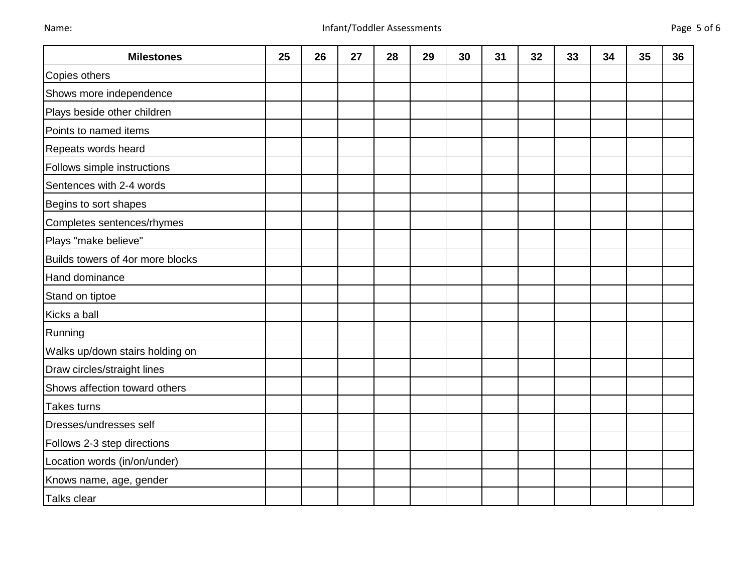| <b>Milestones</b>                | 25 | 26 | 27 | 28 | 29 | 30 | 31 | 32 | 33 | 34 | 35 | 36 |
|----------------------------------|----|----|----|----|----|----|----|----|----|----|----|----|
| Copies others                    |    |    |    |    |    |    |    |    |    |    |    |    |
| Shows more independence          |    |    |    |    |    |    |    |    |    |    |    |    |
| Plays beside other children      |    |    |    |    |    |    |    |    |    |    |    |    |
| Points to named items            |    |    |    |    |    |    |    |    |    |    |    |    |
| Repeats words heard              |    |    |    |    |    |    |    |    |    |    |    |    |
| Follows simple instructions      |    |    |    |    |    |    |    |    |    |    |    |    |
| Sentences with 2-4 words         |    |    |    |    |    |    |    |    |    |    |    |    |
| Begins to sort shapes            |    |    |    |    |    |    |    |    |    |    |    |    |
| Completes sentences/rhymes       |    |    |    |    |    |    |    |    |    |    |    |    |
| Plays "make believe"             |    |    |    |    |    |    |    |    |    |    |    |    |
| Builds towers of 4or more blocks |    |    |    |    |    |    |    |    |    |    |    |    |
| Hand dominance                   |    |    |    |    |    |    |    |    |    |    |    |    |
| Stand on tiptoe                  |    |    |    |    |    |    |    |    |    |    |    |    |
| Kicks a ball                     |    |    |    |    |    |    |    |    |    |    |    |    |
| Running                          |    |    |    |    |    |    |    |    |    |    |    |    |
| Walks up/down stairs holding on  |    |    |    |    |    |    |    |    |    |    |    |    |
| Draw circles/straight lines      |    |    |    |    |    |    |    |    |    |    |    |    |
| Shows affection toward others    |    |    |    |    |    |    |    |    |    |    |    |    |
| <b>Takes turns</b>               |    |    |    |    |    |    |    |    |    |    |    |    |
| Dresses/undresses self           |    |    |    |    |    |    |    |    |    |    |    |    |
| Follows 2-3 step directions      |    |    |    |    |    |    |    |    |    |    |    |    |
| Location words (in/on/under)     |    |    |    |    |    |    |    |    |    |    |    |    |
| Knows name, age, gender          |    |    |    |    |    |    |    |    |    |    |    |    |
| Talks clear                      |    |    |    |    |    |    |    |    |    |    |    |    |